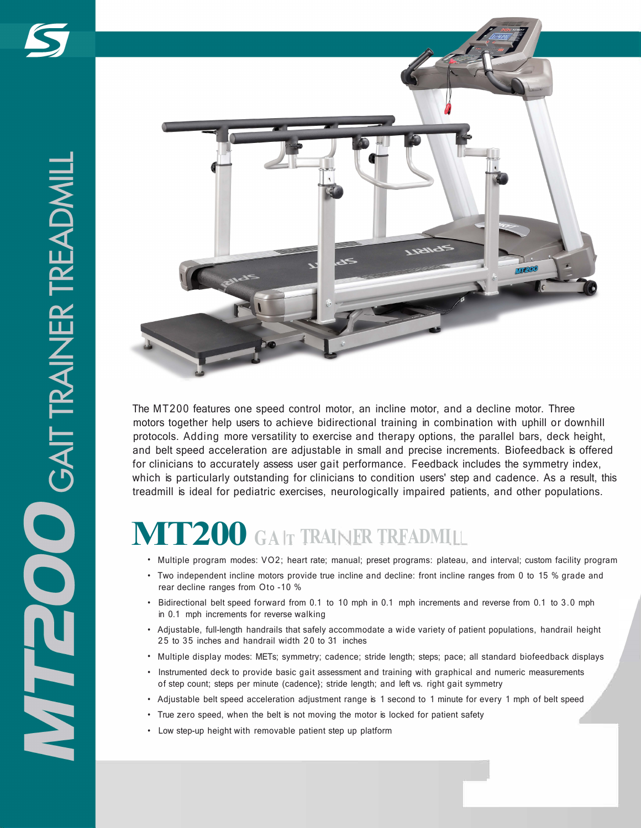

The MT200 features one speed control motor, an incline motor, and a decline motor. Three motors together help users to achieve bidirectional training in combination with uphill or downhill protocols. Adding more versatility to exercise and therapy options, the parallel bars, deck height, and belt speed acceleration are adjustable in small and precise increments. Biofeedback is offered for clinicians to accurately assess user gait performance. Feedback includes the symmetry index, which is particularly outstanding for clinicians to condition users' step and cadence. As a result, this treadmill is ideal for pediatric exercises, neurologically impaired patients, and other populations.

# **MT200 GAIT TRAINER TRFADMILL**

- Multiple program modes: VO2; heart rate; manual; preset programs: plateau, and interval; custom facility program
- Two independent incline motors provide true incline and decline: front incline ranges from 0 to 15 % grade and rear decline ranges from Oto -10 %
- Bidirectional belt speed forward from 0.1 to 10 mph in 0.1 mph increments and reverse from 0.1 to 3.0 mph in 0.1 mph increments for reverse walking
- Adjustable, full-length handrails that safely accommodate a wide variety of patient populations, handrail height 25 to 35 inches and handrail width 20 to 31 inches
- Multiple display modes: METs; symmetry; cadence; stride length; steps; pace; all standard biofeedback displays
- Instrumented deck to provide basic gait assessment and training with graphical and numeric measurements of step count; steps per minute (cadence}; stride length; and left vs. right gait symmetry
- Adjustable belt speed acceleration adjustment range is 1 second to 1 minute for every 1 mph of belt speed
- True zero speed, when the belt is not moving the motor is locked for patient safety
- Low step-up height with removable patient step up platform